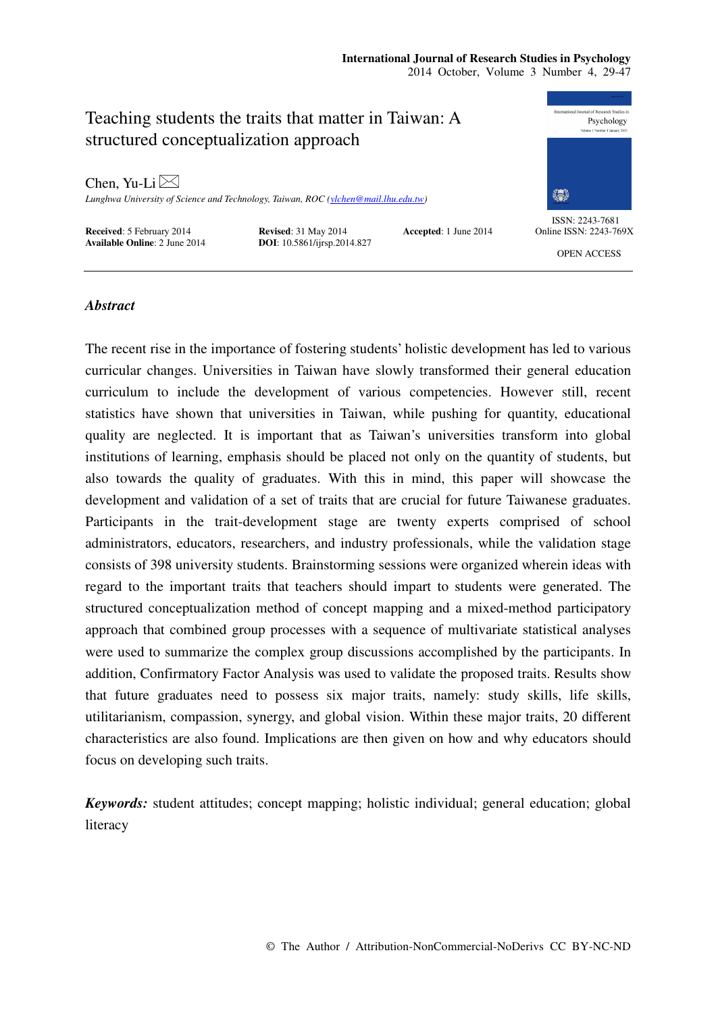# **International Journal of Research Studies in Psychology**

2014 October, Volume 3 Number 4, 29-47



## *Abstract*

The recent rise in the importance of fostering students' holistic development has led to various curricular changes. Universities in Taiwan have slowly transformed their general education curriculum to include the development of various competencies. However still, recent statistics have shown that universities in Taiwan, while pushing for quantity, educational quality are neglected. It is important that as Taiwan's universities transform into global institutions of learning, emphasis should be placed not only on the quantity of students, but also towards the quality of graduates. With this in mind, this paper will showcase the development and validation of a set of traits that are crucial for future Taiwanese graduates. Participants in the trait-development stage are twenty experts comprised of school administrators, educators, researchers, and industry professionals, while the validation stage consists of 398 university students. Brainstorming sessions were organized wherein ideas with regard to the important traits that teachers should impart to students were generated. The structured conceptualization method of concept mapping and a mixed-method participatory approach that combined group processes with a sequence of multivariate statistical analyses were used to summarize the complex group discussions accomplished by the participants. In addition, Confirmatory Factor Analysis was used to validate the proposed traits. Results show that future graduates need to possess six major traits, namely: study skills, life skills, utilitarianism, compassion, synergy, and global vision. Within these major traits, 20 different characteristics are also found. Implications are then given on how and why educators should focus on developing such traits.

*Keywords:* student attitudes; concept mapping; holistic individual; general education; global literacy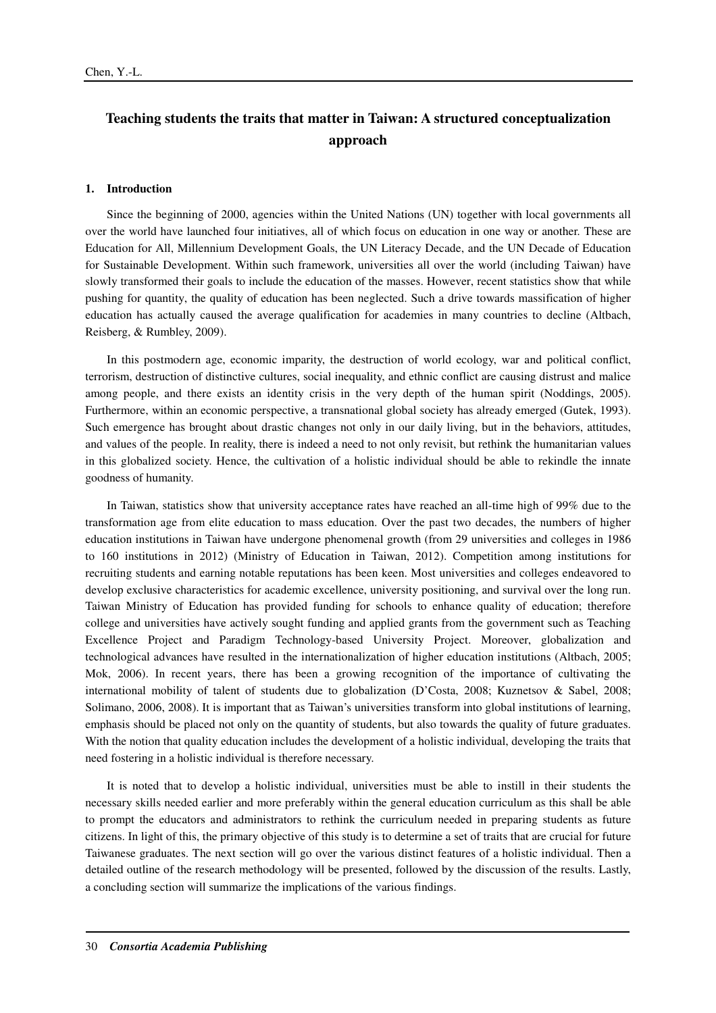# **Teaching students the traits that matter in Taiwan: A structured conceptualization approach**

#### **1. Introduction**

Since the beginning of 2000, agencies within the United Nations (UN) together with local governments all over the world have launched four initiatives, all of which focus on education in one way or another. These are Education for All, Millennium Development Goals, the UN Literacy Decade, and the UN Decade of Education for Sustainable Development. Within such framework, universities all over the world (including Taiwan) have slowly transformed their goals to include the education of the masses. However, recent statistics show that while pushing for quantity, the quality of education has been neglected. Such a drive towards massification of higher education has actually caused the average qualification for academies in many countries to decline (Altbach, Reisberg, & Rumbley, 2009).

In this postmodern age, economic imparity, the destruction of world ecology, war and political conflict, terrorism, destruction of distinctive cultures, social inequality, and ethnic conflict are causing distrust and malice among people, and there exists an identity crisis in the very depth of the human spirit (Noddings, 2005). Furthermore, within an economic perspective, a transnational global society has already emerged (Gutek, 1993). Such emergence has brought about drastic changes not only in our daily living, but in the behaviors, attitudes, and values of the people. In reality, there is indeed a need to not only revisit, but rethink the humanitarian values in this globalized society. Hence, the cultivation of a holistic individual should be able to rekindle the innate goodness of humanity.

In Taiwan, statistics show that university acceptance rates have reached an all-time high of 99% due to the transformation age from elite education to mass education. Over the past two decades, the numbers of higher education institutions in Taiwan have undergone phenomenal growth (from 29 universities and colleges in 1986 to 160 institutions in 2012) (Ministry of Education in Taiwan, 2012). Competition among institutions for recruiting students and earning notable reputations has been keen. Most universities and colleges endeavored to develop exclusive characteristics for academic excellence, university positioning, and survival over the long run. Taiwan Ministry of Education has provided funding for schools to enhance quality of education; therefore college and universities have actively sought funding and applied grants from the government such as Teaching Excellence Project and Paradigm Technology-based University Project. Moreover, globalization and technological advances have resulted in the internationalization of higher education institutions (Altbach, 2005; Mok, 2006). In recent years, there has been a growing recognition of the importance of cultivating the international mobility of talent of students due to globalization (D'Costa, 2008; Kuznetsov & Sabel, 2008; Solimano, 2006, 2008). It is important that as Taiwan's universities transform into global institutions of learning, emphasis should be placed not only on the quantity of students, but also towards the quality of future graduates. With the notion that quality education includes the development of a holistic individual, developing the traits that need fostering in a holistic individual is therefore necessary.

It is noted that to develop a holistic individual, universities must be able to instill in their students the necessary skills needed earlier and more preferably within the general education curriculum as this shall be able to prompt the educators and administrators to rethink the curriculum needed in preparing students as future citizens. In light of this, the primary objective of this study is to determine a set of traits that are crucial for future Taiwanese graduates. The next section will go over the various distinct features of a holistic individual. Then a detailed outline of the research methodology will be presented, followed by the discussion of the results. Lastly, a concluding section will summarize the implications of the various findings.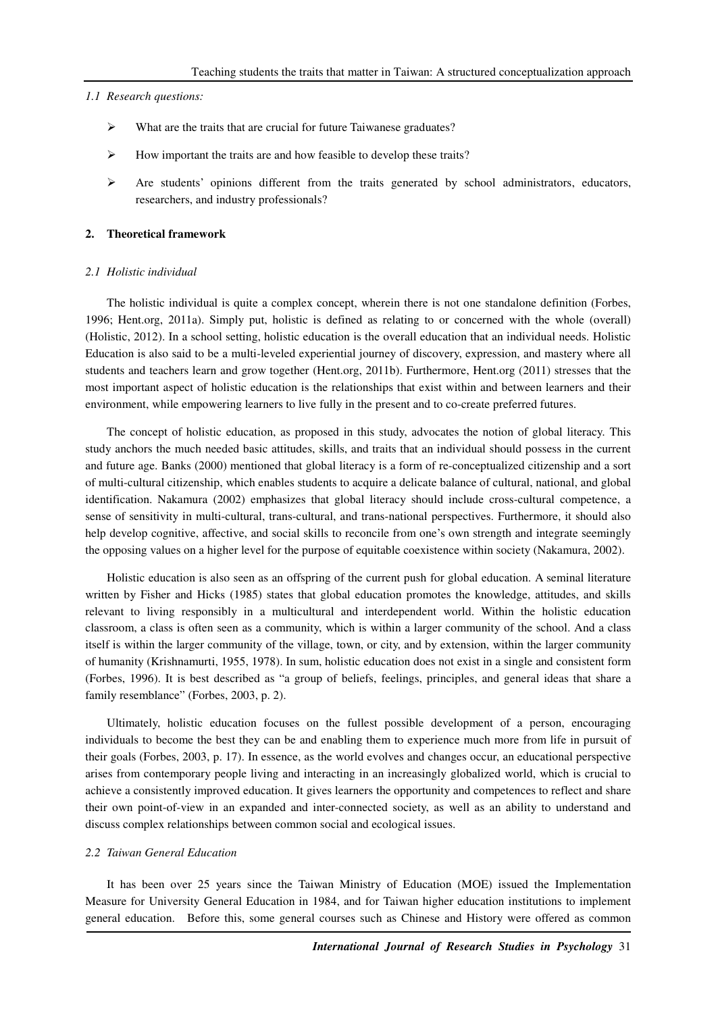#### *1.1 Research questions:*

- What are the traits that are crucial for future Taiwanese graduates?
- How important the traits are and how feasible to develop these traits?
- $\triangleright$  Are students' opinions different from the traits generated by school administrators, educators, researchers, and industry professionals?

## **2. Theoretical framework**

#### *2.1 Holistic individual*

The holistic individual is quite a complex concept, wherein there is not one standalone definition (Forbes, 1996; Hent.org, 2011a). Simply put, holistic is defined as relating to or concerned with the whole (overall) (Holistic, 2012). In a school setting, holistic education is the overall education that an individual needs. Holistic Education is also said to be a multi-leveled experiential journey of discovery, expression, and mastery where all students and teachers learn and grow together (Hent.org, 2011b). Furthermore, Hent.org (2011) stresses that the most important aspect of holistic education is the relationships that exist within and between learners and their environment, while empowering learners to live fully in the present and to co-create preferred futures.

The concept of holistic education, as proposed in this study, advocates the notion of global literacy. This study anchors the much needed basic attitudes, skills, and traits that an individual should possess in the current and future age. Banks (2000) mentioned that global literacy is a form of re-conceptualized citizenship and a sort of multi-cultural citizenship, which enables students to acquire a delicate balance of cultural, national, and global identification. Nakamura (2002) emphasizes that global literacy should include cross-cultural competence, a sense of sensitivity in multi-cultural, trans-cultural, and trans-national perspectives. Furthermore, it should also help develop cognitive, affective, and social skills to reconcile from one's own strength and integrate seemingly the opposing values on a higher level for the purpose of equitable coexistence within society (Nakamura, 2002).

Holistic education is also seen as an offspring of the current push for global education. A seminal literature written by Fisher and Hicks (1985) states that global education promotes the knowledge, attitudes, and skills relevant to living responsibly in a multicultural and interdependent world. Within the holistic education classroom, a class is often seen as a community, which is within a larger community of the school. And a class itself is within the larger community of the village, town, or city, and by extension, within the larger community of humanity (Krishnamurti, 1955, 1978). In sum, holistic education does not exist in a single and consistent form (Forbes, 1996). It is best described as "a group of beliefs, feelings, principles, and general ideas that share a family resemblance" (Forbes, 2003, p. 2).

Ultimately, holistic education focuses on the fullest possible development of a person, encouraging individuals to become the best they can be and enabling them to experience much more from life in pursuit of their goals (Forbes, 2003, p. 17). In essence, as the world evolves and changes occur, an educational perspective arises from contemporary people living and interacting in an increasingly globalized world, which is crucial to achieve a consistently improved education. It gives learners the opportunity and competences to reflect and share their own point-of-view in an expanded and inter-connected society, as well as an ability to understand and discuss complex relationships between common social and ecological issues.

## *2.2 Taiwan General Education*

It has been over 25 years since the Taiwan Ministry of Education (MOE) issued the Implementation Measure for University General Education in 1984, and for Taiwan higher education institutions to implement general education. Before this, some general courses such as Chinese and History were offered as common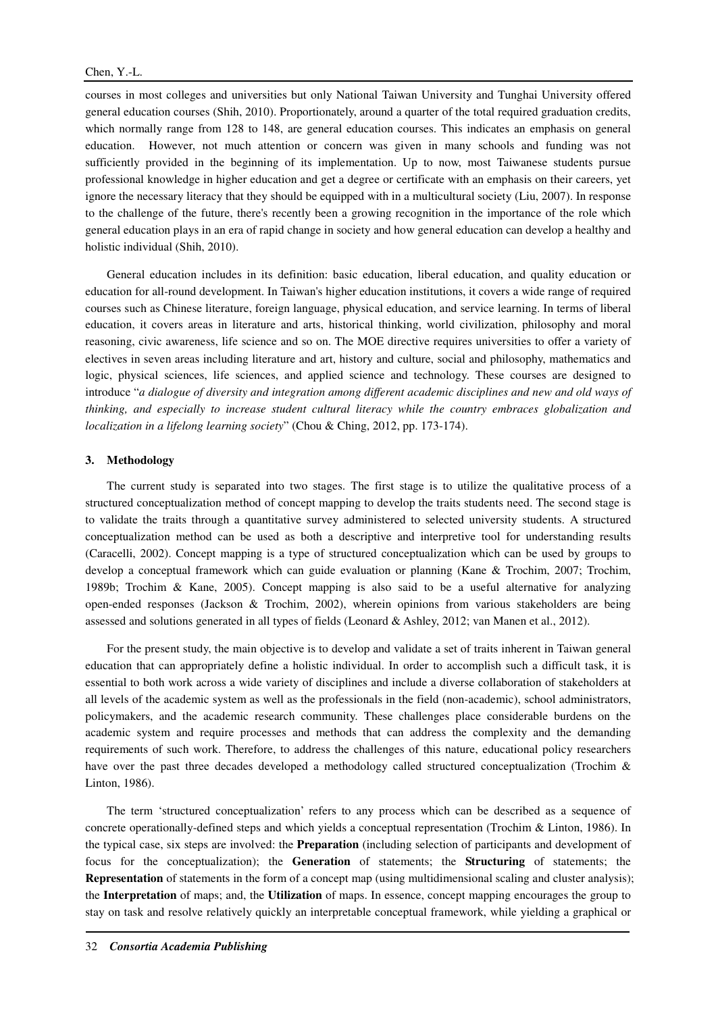courses in most colleges and universities but only National Taiwan University and Tunghai University offered general education courses (Shih, 2010). Proportionately, around a quarter of the total required graduation credits, which normally range from 128 to 148, are general education courses. This indicates an emphasis on general education. However, not much attention or concern was given in many schools and funding was not sufficiently provided in the beginning of its implementation. Up to now, most Taiwanese students pursue professional knowledge in higher education and get a degree or certificate with an emphasis on their careers, yet ignore the necessary literacy that they should be equipped with in a multicultural society (Liu, 2007). In response to the challenge of the future, there's recently been a growing recognition in the importance of the role which general education plays in an era of rapid change in society and how general education can develop a healthy and holistic individual (Shih, 2010).

General education includes in its definition: basic education, liberal education, and quality education or education for all-round development. In Taiwan's higher education institutions, it covers a wide range of required courses such as Chinese literature, foreign language, physical education, and service learning. In terms of liberal education, it covers areas in literature and arts, historical thinking, world civilization, philosophy and moral reasoning, civic awareness, life science and so on. The MOE directive requires universities to offer a variety of electives in seven areas including literature and art, history and culture, social and philosophy, mathematics and logic, physical sciences, life sciences, and applied science and technology. These courses are designed to introduce "*a dialogue of diversity and integration among different academic disciplines and new and old ways of thinking, and especially to increase student cultural literacy while the country embraces globalization and localization in a lifelong learning society*" (Chou & Ching, 2012, pp. 173-174).

#### **3. Methodology**

The current study is separated into two stages. The first stage is to utilize the qualitative process of a structured conceptualization method of concept mapping to develop the traits students need. The second stage is to validate the traits through a quantitative survey administered to selected university students. A structured conceptualization method can be used as both a descriptive and interpretive tool for understanding results (Caracelli, 2002). Concept mapping is a type of structured conceptualization which can be used by groups to develop a conceptual framework which can guide evaluation or planning (Kane & Trochim, 2007; Trochim, 1989b; Trochim & Kane, 2005). Concept mapping is also said to be a useful alternative for analyzing open-ended responses (Jackson & Trochim, 2002), wherein opinions from various stakeholders are being assessed and solutions generated in all types of fields (Leonard & Ashley, 2012; van Manen et al., 2012).

For the present study, the main objective is to develop and validate a set of traits inherent in Taiwan general education that can appropriately define a holistic individual. In order to accomplish such a difficult task, it is essential to both work across a wide variety of disciplines and include a diverse collaboration of stakeholders at all levels of the academic system as well as the professionals in the field (non-academic), school administrators, policymakers, and the academic research community. These challenges place considerable burdens on the academic system and require processes and methods that can address the complexity and the demanding requirements of such work. Therefore, to address the challenges of this nature, educational policy researchers have over the past three decades developed a methodology called structured conceptualization (Trochim & Linton, 1986).

The term 'structured conceptualization' refers to any process which can be described as a sequence of concrete operationally-defined steps and which yields a conceptual representation (Trochim & Linton, 1986). In the typical case, six steps are involved: the **Preparation** (including selection of participants and development of focus for the conceptualization); the **Generation** of statements; the **Structuring** of statements; the **Representation** of statements in the form of a concept map (using multidimensional scaling and cluster analysis); the **Interpretation** of maps; and, the **Utilization** of maps. In essence, concept mapping encourages the group to stay on task and resolve relatively quickly an interpretable conceptual framework, while yielding a graphical or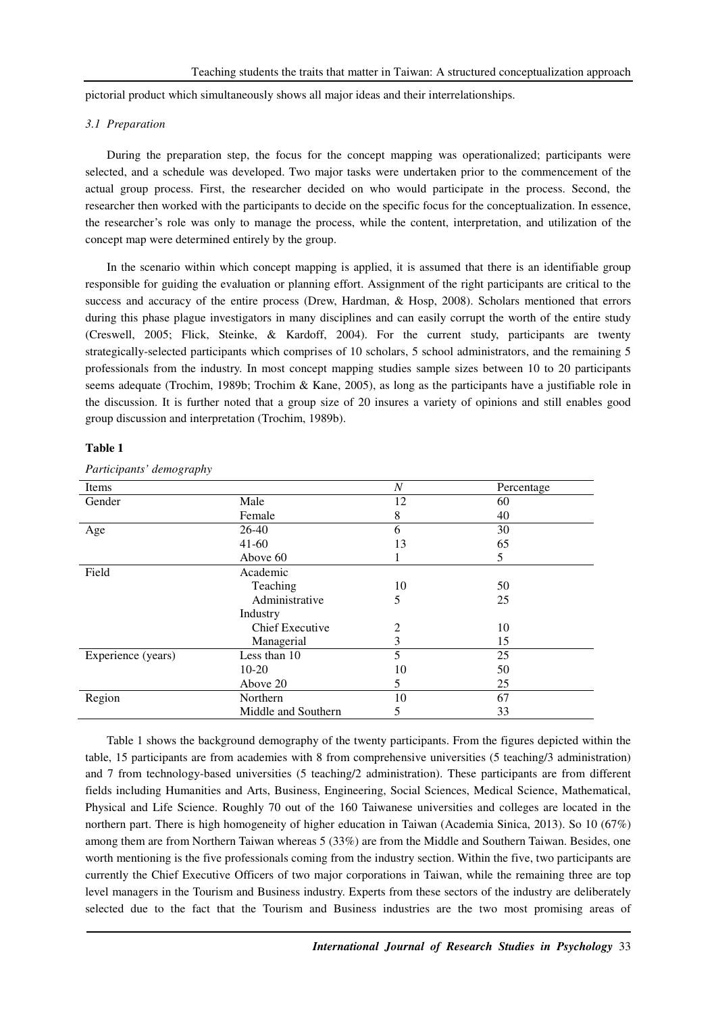pictorial product which simultaneously shows all major ideas and their interrelationships.

#### *3.1 Preparation*

During the preparation step, the focus for the concept mapping was operationalized; participants were selected, and a schedule was developed. Two major tasks were undertaken prior to the commencement of the actual group process. First, the researcher decided on who would participate in the process. Second, the researcher then worked with the participants to decide on the specific focus for the conceptualization. In essence, the researcher's role was only to manage the process, while the content, interpretation, and utilization of the concept map were determined entirely by the group.

In the scenario within which concept mapping is applied, it is assumed that there is an identifiable group responsible for guiding the evaluation or planning effort. Assignment of the right participants are critical to the success and accuracy of the entire process (Drew, Hardman, & Hosp, 2008). Scholars mentioned that errors during this phase plague investigators in many disciplines and can easily corrupt the worth of the entire study (Creswell, 2005; Flick, Steinke, & Kardoff, 2004). For the current study, participants are twenty strategically-selected participants which comprises of 10 scholars, 5 school administrators, and the remaining 5 professionals from the industry. In most concept mapping studies sample sizes between 10 to 20 participants seems adequate (Trochim, 1989b; Trochim & Kane, 2005), as long as the participants have a justifiable role in the discussion. It is further noted that a group size of 20 insures a variety of opinions and still enables good group discussion and interpretation (Trochim, 1989b).

#### **Table 1**

| Items              |                        | N  | Percentage |
|--------------------|------------------------|----|------------|
| Gender             | Male                   | 12 | 60         |
|                    | Female                 | 8  | 40         |
| Age                | 26-40                  | 6  | 30         |
|                    | $41-60$                | 13 | 65         |
|                    | Above 60               |    | 5          |
| Field              | Academic               |    |            |
|                    | Teaching               | 10 | 50         |
|                    | Administrative         | 5  | 25         |
|                    | Industry               |    |            |
|                    | <b>Chief Executive</b> | 2  | 10         |
|                    | Managerial             | 3  | 15         |
| Experience (years) | Less than 10           | 5  | 25         |
|                    | $10-20$                | 10 | 50         |
|                    | Above 20               | 5  | 25         |
| Region             | Northern               | 10 | 67         |
|                    | Middle and Southern    | 5  | 33         |

*Participants' demography*

Table 1 shows the background demography of the twenty participants. From the figures depicted within the table, 15 participants are from academies with 8 from comprehensive universities (5 teaching/3 administration) and 7 from technology-based universities (5 teaching/2 administration). These participants are from different fields including Humanities and Arts, Business, Engineering, Social Sciences, Medical Science, Mathematical, Physical and Life Science. Roughly 70 out of the 160 Taiwanese universities and colleges are located in the northern part. There is high homogeneity of higher education in Taiwan (Academia Sinica, 2013). So 10 (67%) among them are from Northern Taiwan whereas 5 (33%) are from the Middle and Southern Taiwan. Besides, one worth mentioning is the five professionals coming from the industry section. Within the five, two participants are currently the Chief Executive Officers of two major corporations in Taiwan, while the remaining three are top level managers in the Tourism and Business industry. Experts from these sectors of the industry are deliberately selected due to the fact that the Tourism and Business industries are the two most promising areas of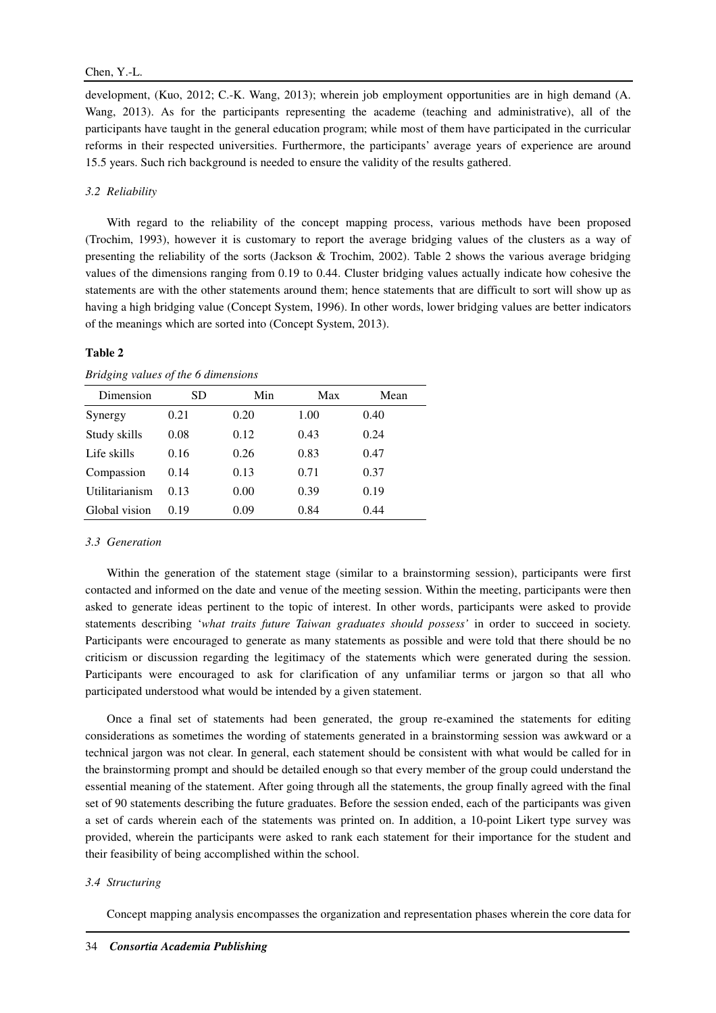development, (Kuo, 2012; C.-K. Wang, 2013); wherein job employment opportunities are in high demand (A. Wang, 2013). As for the participants representing the academe (teaching and administrative), all of the participants have taught in the general education program; while most of them have participated in the curricular reforms in their respected universities. Furthermore, the participants' average years of experience are around 15.5 years. Such rich background is needed to ensure the validity of the results gathered.

### *3.2 Reliability*

With regard to the reliability of the concept mapping process, various methods have been proposed (Trochim, 1993), however it is customary to report the average bridging values of the clusters as a way of presenting the reliability of the sorts (Jackson & Trochim, 2002). Table 2 shows the various average bridging values of the dimensions ranging from 0.19 to 0.44. Cluster bridging values actually indicate how cohesive the statements are with the other statements around them; hence statements that are difficult to sort will show up as having a high bridging value (Concept System, 1996). In other words, lower bridging values are better indicators of the meanings which are sorted into (Concept System, 2013).

#### **Table 2**

*Bridging values of the 6 dimensions* 

| Dimension      | SD   | Min  | Max  | Mean |
|----------------|------|------|------|------|
| Synergy        | 0.21 | 0.20 | 1.00 | 0.40 |
| Study skills   | 0.08 | 0.12 | 0.43 | 0.24 |
| Life skills    | 0.16 | 0.26 | 0.83 | 0.47 |
| Compassion     | 0.14 | 0.13 | 0.71 | 0.37 |
| Utilitarianism | 0.13 | 0.00 | 0.39 | 0.19 |
| Global vision  | 0.19 | 0.09 | 0.84 | 0.44 |

#### *3.3 Generation*

Within the generation of the statement stage (similar to a brainstorming session), participants were first contacted and informed on the date and venue of the meeting session. Within the meeting, participants were then asked to generate ideas pertinent to the topic of interest. In other words, participants were asked to provide statements describing '*what traits future Taiwan graduates should possess'* in order to succeed in society. Participants were encouraged to generate as many statements as possible and were told that there should be no criticism or discussion regarding the legitimacy of the statements which were generated during the session. Participants were encouraged to ask for clarification of any unfamiliar terms or jargon so that all who participated understood what would be intended by a given statement.

Once a final set of statements had been generated, the group re-examined the statements for editing considerations as sometimes the wording of statements generated in a brainstorming session was awkward or a technical jargon was not clear. In general, each statement should be consistent with what would be called for in the brainstorming prompt and should be detailed enough so that every member of the group could understand the essential meaning of the statement. After going through all the statements, the group finally agreed with the final set of 90 statements describing the future graduates. Before the session ended, each of the participants was given a set of cards wherein each of the statements was printed on. In addition, a 10-point Likert type survey was provided, wherein the participants were asked to rank each statement for their importance for the student and their feasibility of being accomplished within the school.

#### *3.4 Structuring*

Concept mapping analysis encompasses the organization and representation phases wherein the core data for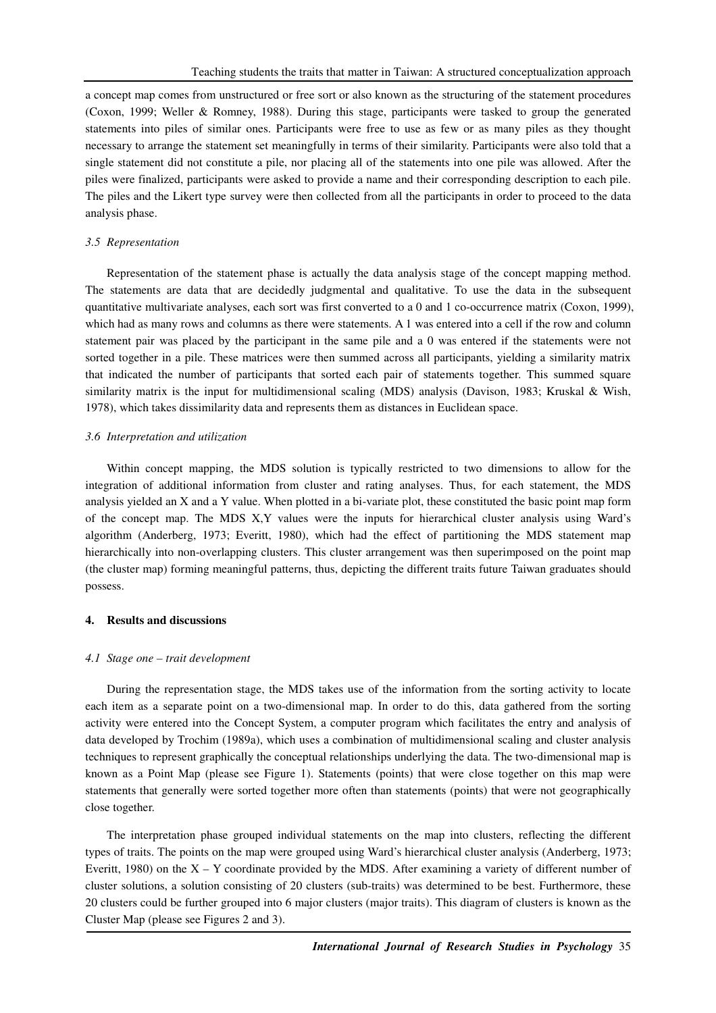a concept map comes from unstructured or free sort or also known as the structuring of the statement procedures (Coxon, 1999; Weller & Romney, 1988). During this stage, participants were tasked to group the generated statements into piles of similar ones. Participants were free to use as few or as many piles as they thought necessary to arrange the statement set meaningfully in terms of their similarity. Participants were also told that a single statement did not constitute a pile, nor placing all of the statements into one pile was allowed. After the piles were finalized, participants were asked to provide a name and their corresponding description to each pile. The piles and the Likert type survey were then collected from all the participants in order to proceed to the data analysis phase.

#### *3.5 Representation*

Representation of the statement phase is actually the data analysis stage of the concept mapping method. The statements are data that are decidedly judgmental and qualitative. To use the data in the subsequent quantitative multivariate analyses, each sort was first converted to a 0 and 1 co-occurrence matrix (Coxon, 1999), which had as many rows and columns as there were statements. A 1 was entered into a cell if the row and column statement pair was placed by the participant in the same pile and a 0 was entered if the statements were not sorted together in a pile. These matrices were then summed across all participants, yielding a similarity matrix that indicated the number of participants that sorted each pair of statements together. This summed square similarity matrix is the input for multidimensional scaling (MDS) analysis (Davison, 1983; Kruskal & Wish, 1978), which takes dissimilarity data and represents them as distances in Euclidean space.

#### *3.6 Interpretation and utilization*

Within concept mapping, the MDS solution is typically restricted to two dimensions to allow for the integration of additional information from cluster and rating analyses. Thus, for each statement, the MDS analysis yielded an X and a Y value. When plotted in a bi-variate plot, these constituted the basic point map form of the concept map. The MDS X,Y values were the inputs for hierarchical cluster analysis using Ward's algorithm (Anderberg, 1973; Everitt, 1980), which had the effect of partitioning the MDS statement map hierarchically into non-overlapping clusters. This cluster arrangement was then superimposed on the point map (the cluster map) forming meaningful patterns, thus, depicting the different traits future Taiwan graduates should possess.

#### **4. Results and discussions**

#### *4.1 Stage one – trait development*

During the representation stage, the MDS takes use of the information from the sorting activity to locate each item as a separate point on a two-dimensional map. In order to do this, data gathered from the sorting activity were entered into the Concept System, a computer program which facilitates the entry and analysis of data developed by Trochim (1989a), which uses a combination of multidimensional scaling and cluster analysis techniques to represent graphically the conceptual relationships underlying the data. The two-dimensional map is known as a Point Map (please see Figure 1). Statements (points) that were close together on this map were statements that generally were sorted together more often than statements (points) that were not geographically close together.

The interpretation phase grouped individual statements on the map into clusters, reflecting the different types of traits. The points on the map were grouped using Ward's hierarchical cluster analysis (Anderberg, 1973; Everitt, 1980) on the  $X - Y$  coordinate provided by the MDS. After examining a variety of different number of cluster solutions, a solution consisting of 20 clusters (sub-traits) was determined to be best. Furthermore, these 20 clusters could be further grouped into 6 major clusters (major traits). This diagram of clusters is known as the Cluster Map (please see Figures 2 and 3).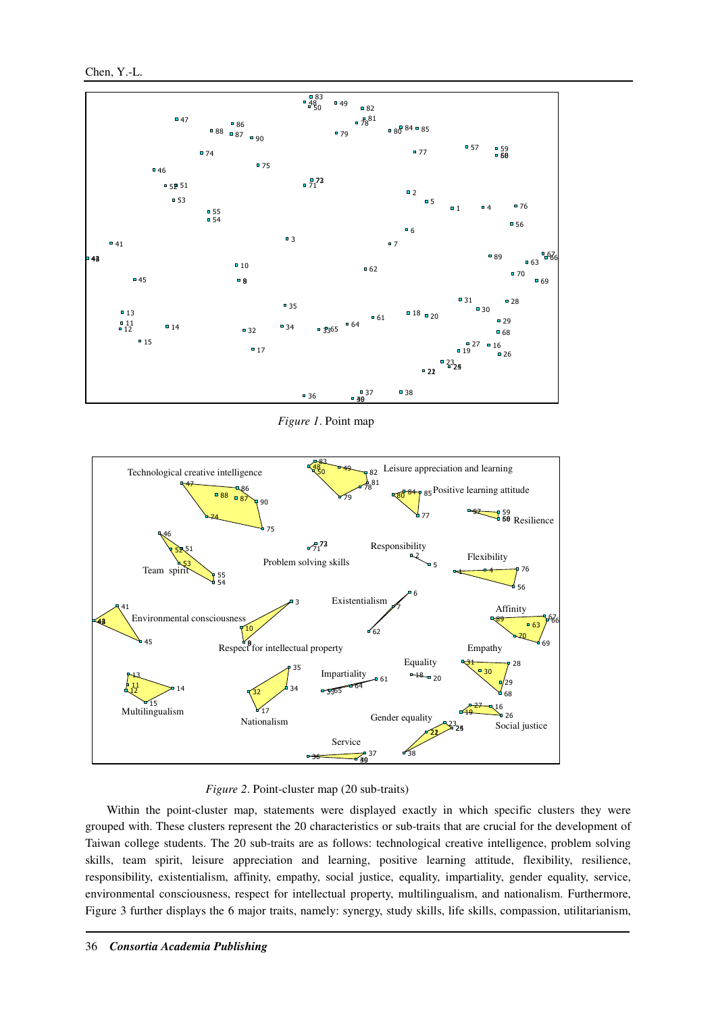Chen, Y.-L.



*Figure 1*. Point map



*Figure 2*. Point-cluster map (20 sub-traits)

Within the point-cluster map, statements were displayed exactly in which specific clusters they were grouped with. These clusters represent the 20 characteristics or sub-traits that are crucial for the development of Taiwan college students. The 20 sub-traits are as follows: technological creative intelligence, problem solving skills, team spirit, leisure appreciation and learning, positive learning attitude, flexibility, resilience, responsibility, existentialism, affinity, empathy, social justice, equality, impartiality, gender equality, service, environmental consciousness, respect for intellectual property, multilingualism, and nationalism. Furthermore, Figure 3 further displays the 6 major traits, namely: synergy, study skills, life skills, compassion, utilitarianism,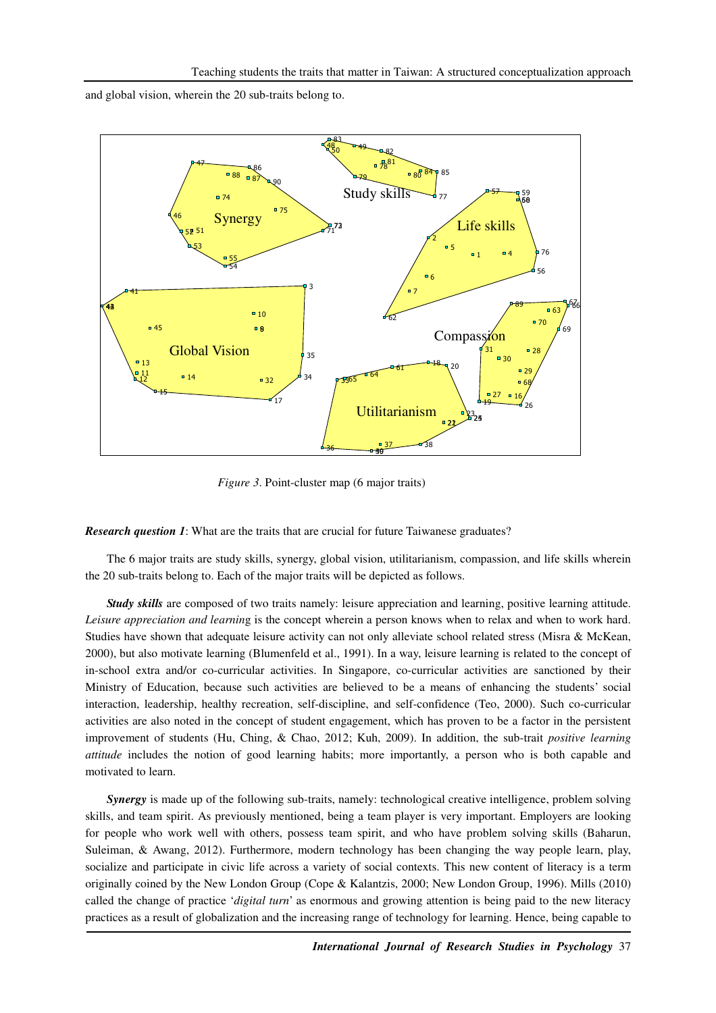and global vision, wherein the 20 sub-traits belong to.



*Figure 3*. Point-cluster map (6 major traits)

*Research question 1*: What are the traits that are crucial for future Taiwanese graduates?

The 6 major traits are study skills, synergy, global vision, utilitarianism, compassion, and life skills wherein the 20 sub-traits belong to. Each of the major traits will be depicted as follows.

*Study skills* are composed of two traits namely: leisure appreciation and learning, positive learning attitude. *Leisure appreciation and learnin*g is the concept wherein a person knows when to relax and when to work hard. Studies have shown that adequate leisure activity can not only alleviate school related stress (Misra & McKean, 2000), but also motivate learning (Blumenfeld et al., 1991). In a way, leisure learning is related to the concept of in-school extra and/or co-curricular activities. In Singapore, co-curricular activities are sanctioned by their Ministry of Education, because such activities are believed to be a means of enhancing the students' social interaction, leadership, healthy recreation, self-discipline, and self-confidence (Teo, 2000). Such co-curricular activities are also noted in the concept of student engagement, which has proven to be a factor in the persistent improvement of students (Hu, Ching, & Chao, 2012; Kuh, 2009). In addition, the sub-trait *positive learning attitude* includes the notion of good learning habits; more importantly, a person who is both capable and motivated to learn.

*Synergy* is made up of the following sub-traits, namely: technological creative intelligence, problem solving skills, and team spirit. As previously mentioned, being a team player is very important. Employers are looking for people who work well with others, possess team spirit, and who have problem solving skills (Baharun, Suleiman, & Awang, 2012). Furthermore, modern technology has been changing the way people learn, play, socialize and participate in civic life across a variety of social contexts. This new content of literacy is a term originally coined by the New London Group (Cope & Kalantzis, 2000; New London Group, 1996). Mills (2010) called the change of practice '*digital turn*' as enormous and growing attention is being paid to the new literacy practices as a result of globalization and the increasing range of technology for learning. Hence, being capable to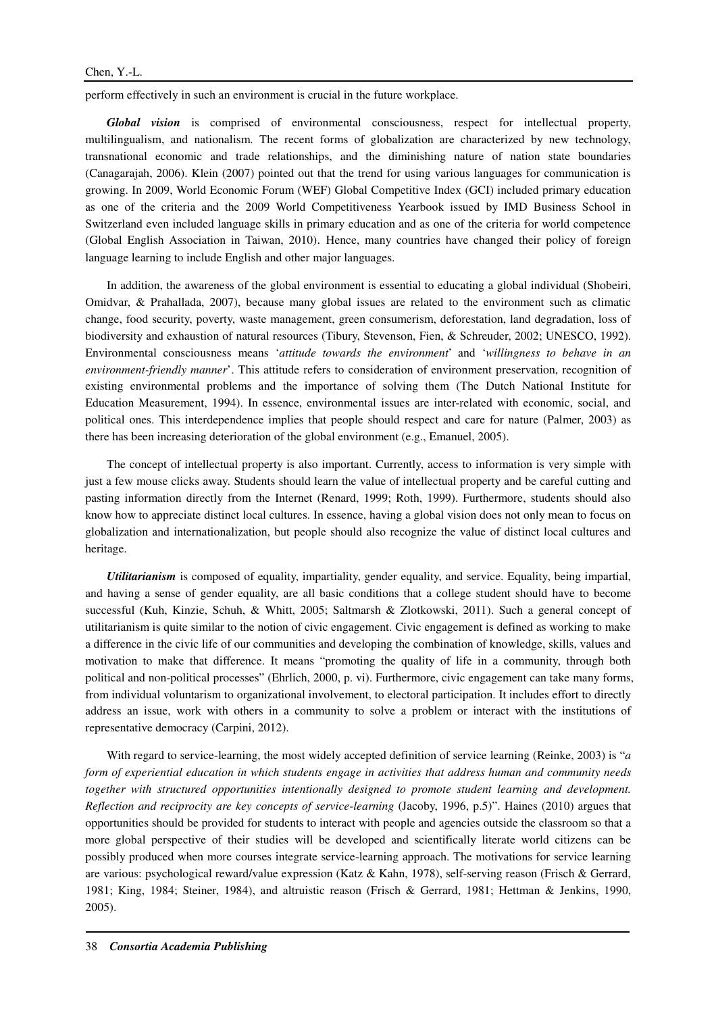perform effectively in such an environment is crucial in the future workplace.

*Global vision* is comprised of environmental consciousness, respect for intellectual property, multilingualism, and nationalism. The recent forms of globalization are characterized by new technology, transnational economic and trade relationships, and the diminishing nature of nation state boundaries (Canagarajah, 2006). Klein (2007) pointed out that the trend for using various languages for communication is growing. In 2009, World Economic Forum (WEF) Global Competitive Index (GCI) included primary education as one of the criteria and the 2009 World Competitiveness Yearbook issued by IMD Business School in Switzerland even included language skills in primary education and as one of the criteria for world competence (Global English Association in Taiwan, 2010). Hence, many countries have changed their policy of foreign language learning to include English and other major languages.

In addition, the awareness of the global environment is essential to educating a global individual (Shobeiri, Omidvar, & Prahallada, 2007), because many global issues are related to the environment such as climatic change, food security, poverty, waste management, green consumerism, deforestation, land degradation, loss of biodiversity and exhaustion of natural resources (Tibury, Stevenson, Fien, & Schreuder, 2002; UNESCO, 1992). Environmental consciousness means '*attitude towards the environment*' and '*willingness to behave in an environment-friendly manner*'. This attitude refers to consideration of environment preservation, recognition of existing environmental problems and the importance of solving them (The Dutch National Institute for Education Measurement, 1994). In essence, environmental issues are inter-related with economic, social, and political ones. This interdependence implies that people should respect and care for nature (Palmer, 2003) as there has been increasing deterioration of the global environment (e.g., Emanuel, 2005).

The concept of intellectual property is also important. Currently, access to information is very simple with just a few mouse clicks away. Students should learn the value of intellectual property and be careful cutting and pasting information directly from the Internet (Renard, 1999; Roth, 1999). Furthermore, students should also know how to appreciate distinct local cultures. In essence, having a global vision does not only mean to focus on globalization and internationalization, but people should also recognize the value of distinct local cultures and heritage.

*Utilitarianism* is composed of equality, impartiality, gender equality, and service. Equality, being impartial, and having a sense of gender equality, are all basic conditions that a college student should have to become successful (Kuh, Kinzie, Schuh, & Whitt, 2005; Saltmarsh & Zlotkowski, 2011). Such a general concept of utilitarianism is quite similar to the notion of civic engagement. Civic engagement is defined as working to make a difference in the civic life of our communities and developing the combination of knowledge, skills, values and motivation to make that difference. It means "promoting the quality of life in a community, through both political and non-political processes" (Ehrlich, 2000, p. vi). Furthermore, civic engagement can take many forms, from individual voluntarism to organizational involvement, to electoral participation. It includes effort to directly address an issue, work with others in a community to solve a problem or interact with the institutions of representative democracy (Carpini, 2012).

With regard to service-learning, the most widely accepted definition of service learning (Reinke, 2003) is "*a form of experiential education in which students engage in activities that address human and community needs together with structured opportunities intentionally designed to promote student learning and development. Reflection and reciprocity are key concepts of service-learning* (Jacoby, 1996, p.5)". Haines (2010) argues that opportunities should be provided for students to interact with people and agencies outside the classroom so that a more global perspective of their studies will be developed and scientifically literate world citizens can be possibly produced when more courses integrate service-learning approach. The motivations for service learning are various: psychological reward/value expression (Katz & Kahn, 1978), self-serving reason (Frisch & Gerrard, 1981; King, 1984; Steiner, 1984), and altruistic reason (Frisch & Gerrard, 1981; Hettman & Jenkins, 1990, 2005).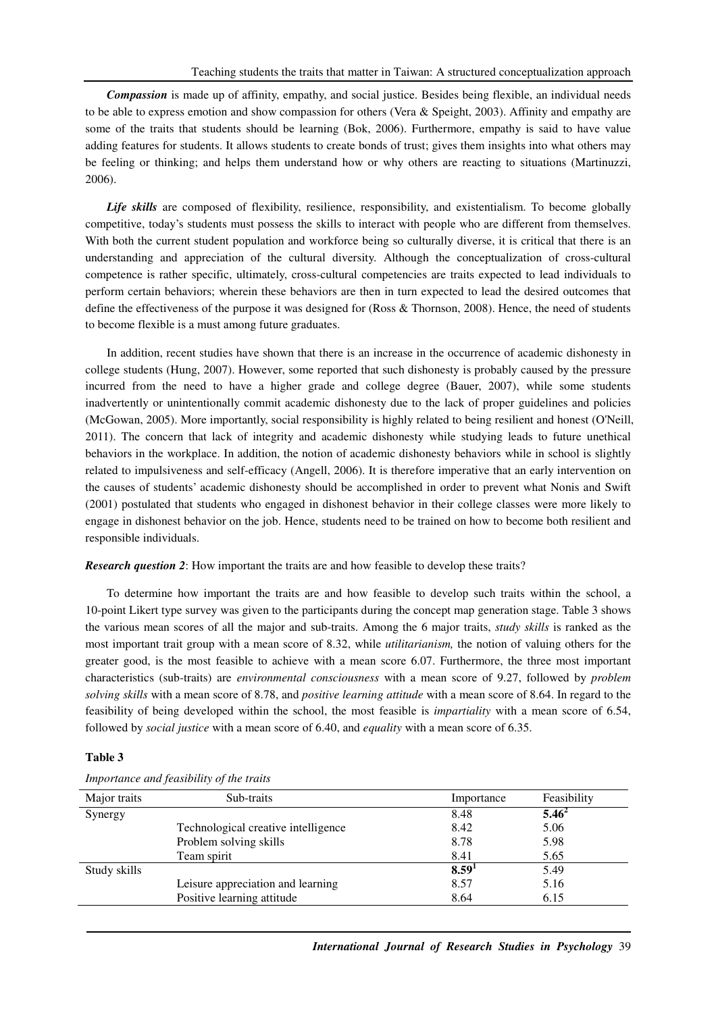*Compassion* is made up of affinity, empathy, and social justice. Besides being flexible, an individual needs to be able to express emotion and show compassion for others (Vera & Speight, 2003). Affinity and empathy are some of the traits that students should be learning (Bok, 2006). Furthermore, empathy is said to have value adding features for students. It allows students to create bonds of trust; gives them insights into what others may be feeling or thinking; and helps them understand how or why others are reacting to situations (Martinuzzi, 2006).

*Life skills* are composed of flexibility, resilience, responsibility, and existentialism. To become globally competitive, today's students must possess the skills to interact with people who are different from themselves. With both the current student population and workforce being so culturally diverse, it is critical that there is an understanding and appreciation of the cultural diversity. Although the conceptualization of cross-cultural competence is rather specific, ultimately, cross-cultural competencies are traits expected to lead individuals to perform certain behaviors; wherein these behaviors are then in turn expected to lead the desired outcomes that define the effectiveness of the purpose it was designed for (Ross & Thornson, 2008). Hence, the need of students to become flexible is a must among future graduates.

In addition, recent studies have shown that there is an increase in the occurrence of academic dishonesty in college students (Hung, 2007). However, some reported that such dishonesty is probably caused by the pressure incurred from the need to have a higher grade and college degree (Bauer, 2007), while some students inadvertently or unintentionally commit academic dishonesty due to the lack of proper guidelines and policies (McGowan, 2005). More importantly, social responsibility is highly related to being resilient and honest (O'Neill, 2011). The concern that lack of integrity and academic dishonesty while studying leads to future unethical behaviors in the workplace. In addition, the notion of academic dishonesty behaviors while in school is slightly related to impulsiveness and self-efficacy (Angell, 2006). It is therefore imperative that an early intervention on the causes of students' academic dishonesty should be accomplished in order to prevent what Nonis and Swift (2001) postulated that students who engaged in dishonest behavior in their college classes were more likely to engage in dishonest behavior on the job. Hence, students need to be trained on how to become both resilient and responsible individuals.

*Research question 2*: How important the traits are and how feasible to develop these traits?

To determine how important the traits are and how feasible to develop such traits within the school, a 10-point Likert type survey was given to the participants during the concept map generation stage. Table 3 shows the various mean scores of all the major and sub-traits. Among the 6 major traits, *study skills* is ranked as the most important trait group with a mean score of 8.32, while *utilitarianism,* the notion of valuing others for the greater good, is the most feasible to achieve with a mean score 6.07. Furthermore, the three most important characteristics (sub-traits) are *environmental consciousness* with a mean score of 9.27, followed by *problem solving skills* with a mean score of 8.78, and *positive learning attitude* with a mean score of 8.64. In regard to the feasibility of being developed within the school, the most feasible is *impartiality* with a mean score of 6.54, followed by *social justice* with a mean score of 6.40, and *equality* with a mean score of 6.35.

## **Table 3**

| Sub-traits                          | Importance        | Feasibility |
|-------------------------------------|-------------------|-------------|
|                                     | 8.48              | $5.46^{2}$  |
| Technological creative intelligence | 8.42              | 5.06        |
| Problem solving skills              | 8.78              | 5.98        |
| Team spirit                         | 8.41              | 5.65        |
|                                     | 8.59 <sup>1</sup> | 5.49        |
| Leisure appreciation and learning   | 8.57              | 5.16        |
| Positive learning attitude          | 8.64              | 6.15        |
|                                     |                   |             |

*Importance and feasibility of the traits*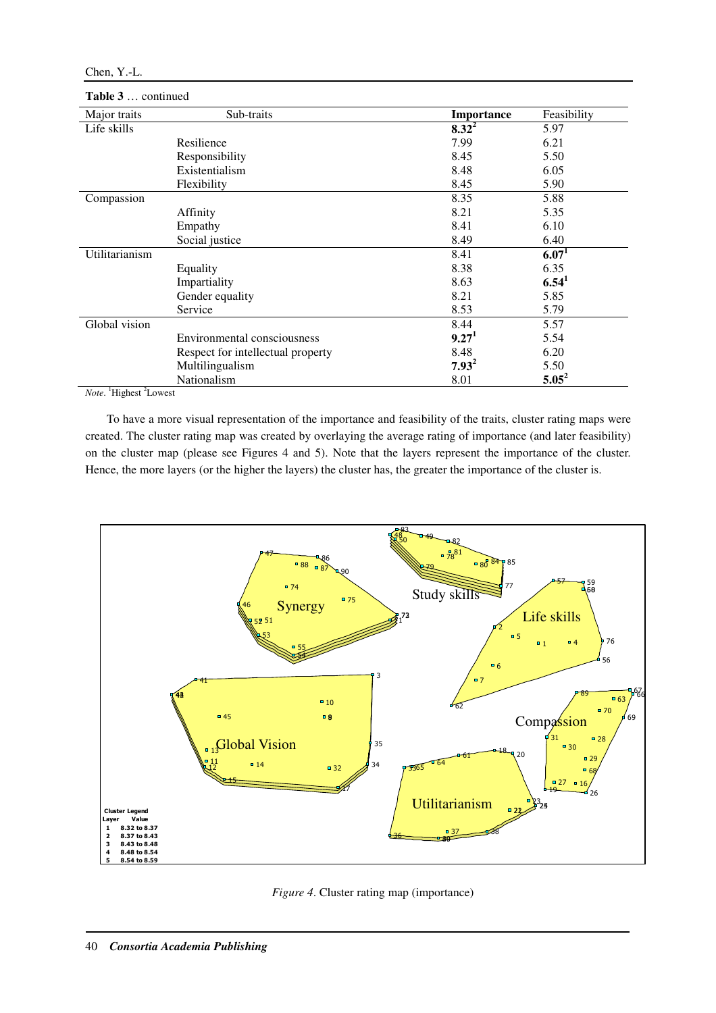| Major traits   | Sub-traits                        | Importance        | Feasibility       |
|----------------|-----------------------------------|-------------------|-------------------|
| Life skills    |                                   | $8.32^2$          | 5.97              |
|                | Resilience                        | 7.99              | 6.21              |
|                | Responsibility                    | 8.45              | 5.50              |
|                | Existentialism                    | 8.48              | 6.05              |
|                | Flexibility                       | 8.45              | 5.90              |
| Compassion     |                                   | 8.35              | 5.88              |
|                | Affinity                          | 8.21              | 5.35              |
|                | Empathy                           | 8.41              | 6.10              |
|                | Social justice                    | 8.49              | 6.40              |
| Utilitarianism |                                   | 8.41              | 6.07 <sup>1</sup> |
|                | Equality                          | 8.38              | 6.35              |
|                | Impartiality                      | 8.63              | 6.54 <sup>1</sup> |
|                | Gender equality                   | 8.21              | 5.85              |
|                | Service                           | 8.53              | 5.79              |
| Global vision  |                                   | 8.44              | 5.57              |
|                | Environmental consciousness       | 9.27 <sup>1</sup> | 5.54              |
|                | Respect for intellectual property | 8.48              | 6.20              |
|                | Multilingualism                   | $7.93^2$          | 5.50              |
|                | Nationalism                       | 8.01              | $5.05^2$          |

# **Table 3** … continued

*Note*. <sup>1</sup>Highest <sup>2</sup>Lowest

To have a more visual representation of the importance and feasibility of the traits, cluster rating maps were created. The cluster rating map was created by overlaying the average rating of importance (and later feasibility) on the cluster map (please see Figures 4 and 5). Note that the layers represent the importance of the cluster. Hence, the more layers (or the higher the layers) the cluster has, the greater the importance of the cluster is.



*Figure 4*. Cluster rating map (importance)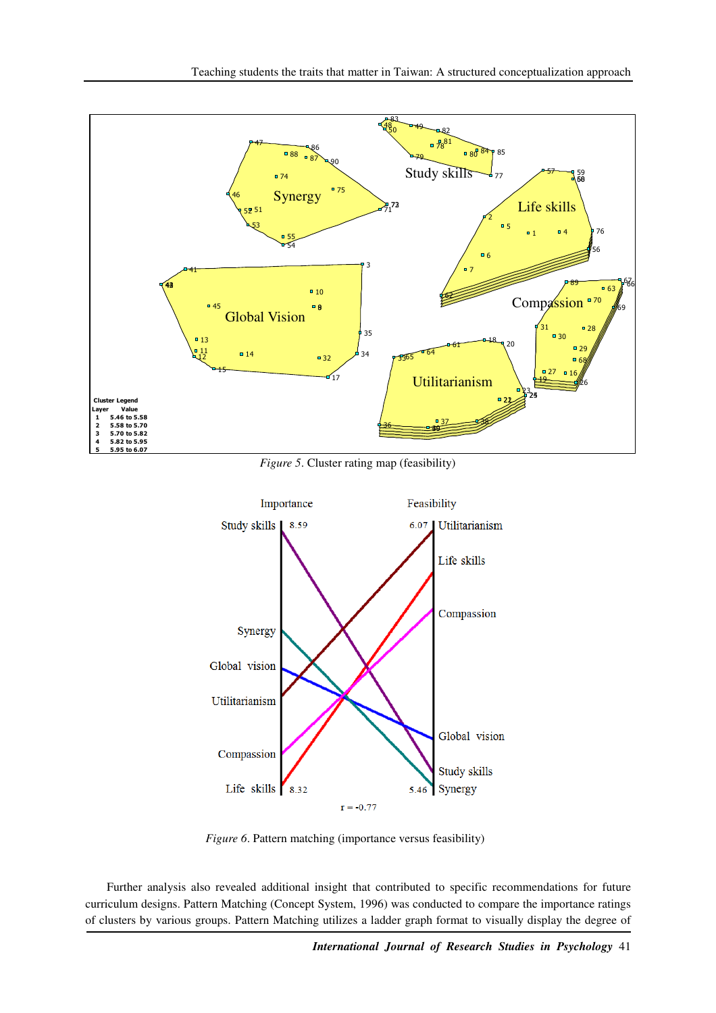

*Figure 5*. Cluster rating map (feasibility)



*Figure 6*. Pattern matching (importance versus feasibility)

Further analysis also revealed additional insight that contributed to specific recommendations for future curriculum designs. Pattern Matching (Concept System, 1996) was conducted to compare the importance ratings of clusters by various groups. Pattern Matching utilizes a ladder graph format to visually display the degree of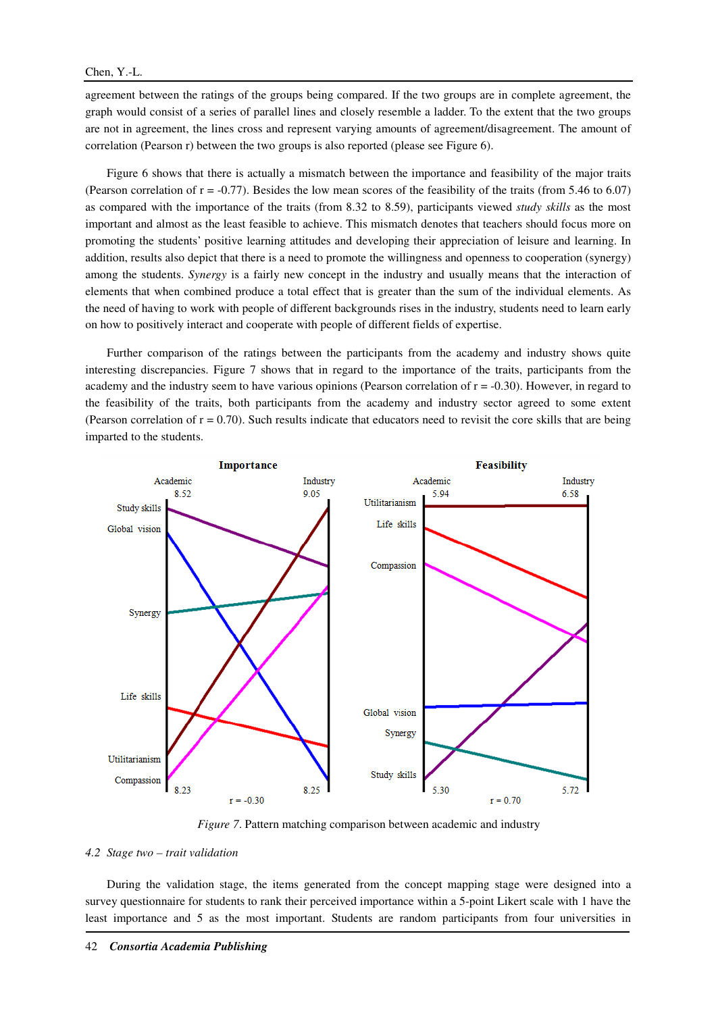agreement between the ratings of the groups being compared. If the two groups are in complete agreement, the graph would consist of a series of parallel lines and closely resemble a ladder. To the extent that the two groups are not in agreement, the lines cross and represent varying amounts of agreement/disagreement. The amount of correlation (Pearson r) between the two groups is also reported (please see Figure 6).

Figure 6 shows that there is actually a mismatch between the importance and feasibility of the major traits (Pearson correlation of  $r = -0.77$ ). Besides the low mean scores of the feasibility of the traits (from 5.46 to 6.07) as compared with the importance of the traits (from 8.32 to 8.59), participants viewed *study skills* as the most important and almost as the least feasible to achieve. This mismatch denotes that teachers should focus more on promoting the students' positive learning attitudes and developing their appreciation of leisure and learning. In addition, results also depict that there is a need to promote the willingness and openness to cooperation (synergy) among the students. *Synergy* is a fairly new concept in the industry and usually means that the interaction of elements that when combined produce a total effect that is greater than the sum of the individual elements. As the need of having to work with people of different backgrounds rises in the industry, students need to learn early on how to positively interact and cooperate with people of different fields of expertise.

Further comparison of the ratings between the participants from the academy and industry shows quite interesting discrepancies. Figure 7 shows that in regard to the importance of the traits, participants from the academy and the industry seem to have various opinions (Pearson correlation of  $r = -0.30$ ). However, in regard to the feasibility of the traits, both participants from the academy and industry sector agreed to some extent (Pearson correlation of  $r = 0.70$ ). Such results indicate that educators need to revisit the core skills that are being imparted to the students.



*Figure 7*. Pattern matching comparison between academic and industry

#### *4.2 Stage two – trait validation*

During the validation stage, the items generated from the concept mapping stage were designed into a survey questionnaire for students to rank their perceived importance within a 5-point Likert scale with 1 have the least importance and 5 as the most important. Students are random participants from four universities in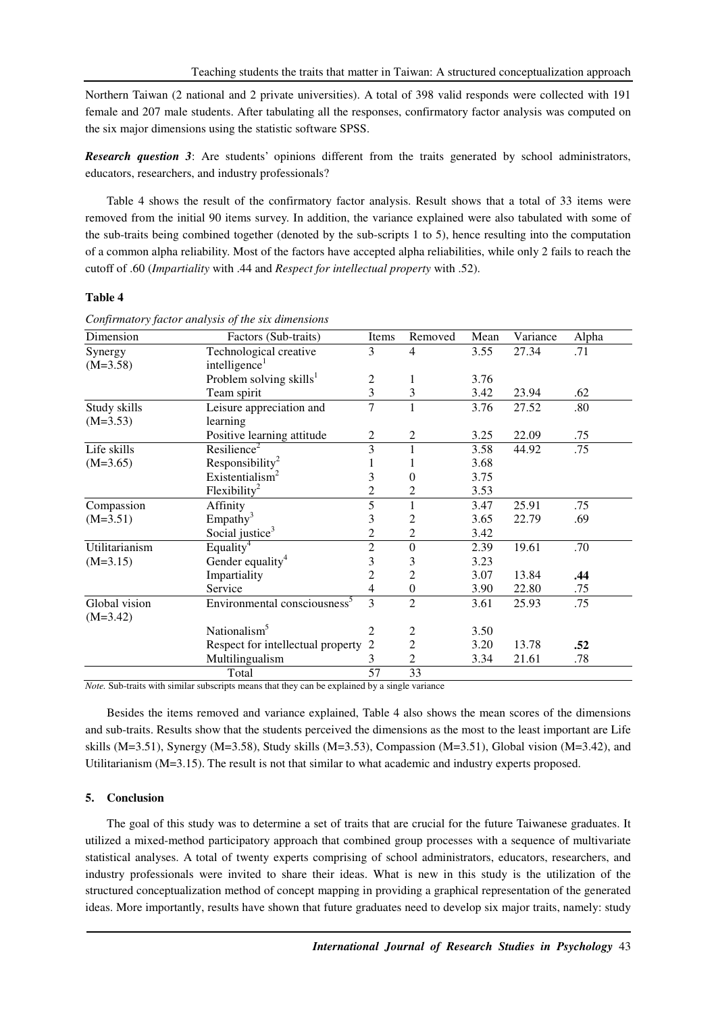Northern Taiwan (2 national and 2 private universities). A total of 398 valid responds were collected with 191 female and 207 male students. After tabulating all the responses, confirmatory factor analysis was computed on the six major dimensions using the statistic software SPSS.

*Research question 3*: Are students' opinions different from the traits generated by school administrators, educators, researchers, and industry professionals?

Table 4 shows the result of the confirmatory factor analysis. Result shows that a total of 33 items were removed from the initial 90 items survey. In addition, the variance explained were also tabulated with some of the sub-traits being combined together (denoted by the sub-scripts 1 to 5), hence resulting into the computation of a common alpha reliability. Most of the factors have accepted alpha reliabilities, while only 2 fails to reach the cutoff of .60 (*Impartiality* with .44 and *Respect for intellectual property* with .52).

## **Table 4**

| Dimension                   | Factors (Sub-traits)                     | Items          | Removed          | Mean | Variance | Alpha |
|-----------------------------|------------------------------------------|----------------|------------------|------|----------|-------|
| Synergy                     | Technological creative                   | 3              | 4                | 3.55 | 27.34    | .71   |
| $(M=3.58)$                  | intelligence <sup>1</sup>                |                |                  |      |          |       |
|                             | Problem solving skills <sup>1</sup>      | 2              |                  | 3.76 |          |       |
|                             | Team spirit                              | 3              | 3                | 3.42 | 23.94    | .62   |
| Study skills                | Leisure appreciation and                 | 7              | $\mathbf{1}$     | 3.76 | 27.52    | .80   |
| $(M=3.53)$                  | learning                                 |                |                  |      |          |       |
|                             | Positive learning attitude               | 2              | 2                | 3.25 | 22.09    | .75   |
| Life skills                 | Resilience <sup>2</sup>                  | 3              |                  | 3.58 | 44.92    | .75   |
| $(M=3.65)$                  | Responsibility <sup>2</sup>              |                |                  | 3.68 |          |       |
|                             | Existentialism <sup>2</sup>              | 3              | 0                | 3.75 |          |       |
|                             | $F$ lexibility <sup>2</sup>              | 2              | $\overline{2}$   | 3.53 |          |       |
| Compassion                  | Affinity                                 | 5              |                  | 3.47 | 25.91    | .75   |
| $(M=3.51)$                  | Empathy <sup>3</sup>                     | 3              | 2                | 3.65 | 22.79    | .69   |
|                             | Social justice <sup>3</sup>              | 2              | $\overline{2}$   | 3.42 |          |       |
| Utilitarianism              | Equality <sup>4</sup>                    | $\overline{2}$ | $\overline{0}$   | 2.39 | 19.61    | .70   |
| $(M=3.15)$                  | Gender equality <sup>4</sup>             | 3              | 3                | 3.23 |          |       |
|                             | Impartiality                             | 2              | $\overline{c}$   | 3.07 | 13.84    | .44   |
|                             | Service                                  | 4              | $\boldsymbol{0}$ | 3.90 | 22.80    | .75   |
| Global vision<br>$(M=3.42)$ | Environmental consciousness <sup>5</sup> | 3              | $\overline{2}$   | 3.61 | 25.93    | .75   |
|                             | Nationalism <sup>5</sup>                 | 2              | 2                | 3.50 |          |       |
|                             | Respect for intellectual property        | 2              | $\overline{c}$   | 3.20 | 13.78    | .52   |
|                             | Multilingualism                          | 3              | $\overline{2}$   | 3.34 | 21.61    | .78   |
|                             | Total                                    | 57             | 33               |      |          |       |

*Confirmatory factor analysis of the six dimensions*

*Note.* Sub-traits with similar subscripts means that they can be explained by a single variance

Besides the items removed and variance explained, Table 4 also shows the mean scores of the dimensions and sub-traits. Results show that the students perceived the dimensions as the most to the least important are Life skills (M=3.51), Synergy (M=3.58), Study skills (M=3.53), Compassion (M=3.51), Global vision (M=3.42), and Utilitarianism (M=3.15). The result is not that similar to what academic and industry experts proposed.

## **5. Conclusion**

The goal of this study was to determine a set of traits that are crucial for the future Taiwanese graduates. It utilized a mixed-method participatory approach that combined group processes with a sequence of multivariate statistical analyses. A total of twenty experts comprising of school administrators, educators, researchers, and industry professionals were invited to share their ideas. What is new in this study is the utilization of the structured conceptualization method of concept mapping in providing a graphical representation of the generated ideas. More importantly, results have shown that future graduates need to develop six major traits, namely: study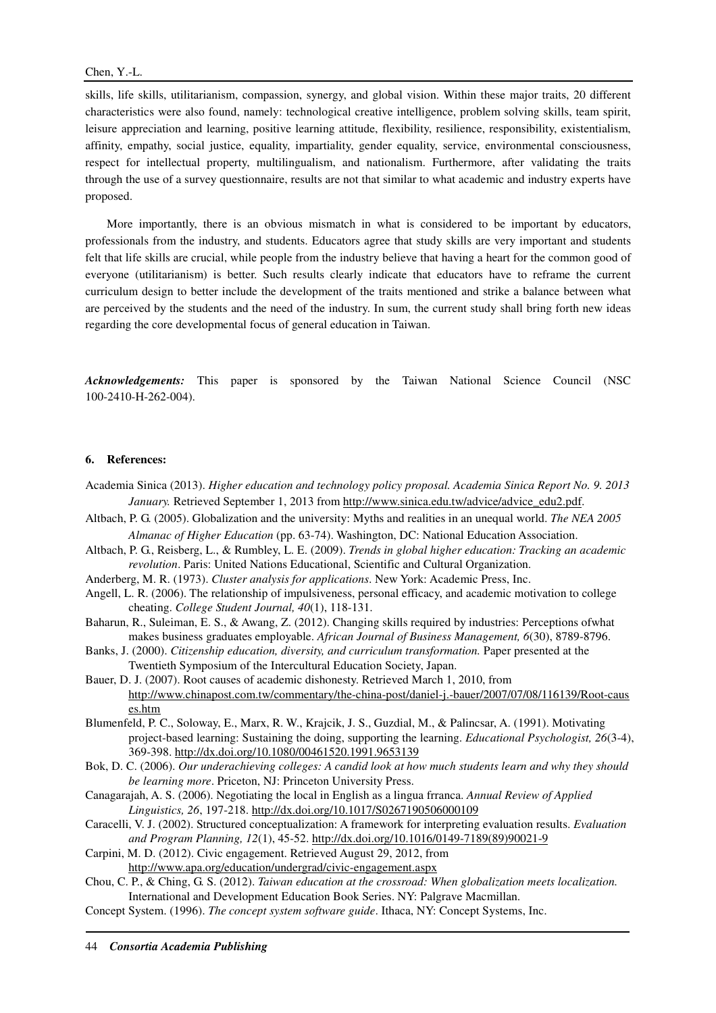skills, life skills, utilitarianism, compassion, synergy, and global vision. Within these major traits, 20 different characteristics were also found, namely: technological creative intelligence, problem solving skills, team spirit, leisure appreciation and learning, positive learning attitude, flexibility, resilience, responsibility, existentialism, affinity, empathy, social justice, equality, impartiality, gender equality, service, environmental consciousness, respect for intellectual property, multilingualism, and nationalism. Furthermore, after validating the traits through the use of a survey questionnaire, results are not that similar to what academic and industry experts have proposed.

More importantly, there is an obvious mismatch in what is considered to be important by educators, professionals from the industry, and students. Educators agree that study skills are very important and students felt that life skills are crucial, while people from the industry believe that having a heart for the common good of everyone (utilitarianism) is better. Such results clearly indicate that educators have to reframe the current curriculum design to better include the development of the traits mentioned and strike a balance between what are perceived by the students and the need of the industry. In sum, the current study shall bring forth new ideas regarding the core developmental focus of general education in Taiwan.

*Acknowledgements:* This paper is sponsored by the Taiwan National Science Council (NSC 100-2410-H-262-004).

## **6. References:**

- Academia Sinica (2013). *Higher education and technology policy proposal. Academia Sinica Report No. 9. 2013*  January. Retrieved September 1, 2013 from http://www.sinica.edu.tw/advice/advice\_edu2.pdf.
- Altbach, P. G. (2005). Globalization and the university: Myths and realities in an unequal world. *The NEA 2005 Almanac of Higher Education* (pp. 63-74). Washington, DC: National Education Association.
- Altbach, P. G., Reisberg, L., & Rumbley, L. E. (2009). *Trends in global higher education: Tracking an academic revolution*. Paris: United Nations Educational, Scientific and Cultural Organization.
- Anderberg, M. R. (1973). *Cluster analysis for applications*. New York: Academic Press, Inc.
- Angell, L. R. (2006). The relationship of impulsiveness, personal efficacy, and academic motivation to college cheating. *College Student Journal, 40*(1), 118-131.
- Baharun, R., Suleiman, E. S., & Awang, Z. (2012). Changing skills required by industries: Perceptions ofwhat makes business graduates employable. *African Journal of Business Management, 6*(30), 8789-8796.
- Banks, J. (2000). *Citizenship education, diversity, and curriculum transformation.* Paper presented at the Twentieth Symposium of the Intercultural Education Society, Japan.
- Bauer, D. J. (2007). Root causes of academic dishonesty. Retrieved March 1, 2010, from http://www.chinapost.com.tw/commentary/the-china-post/daniel-j.-bauer/2007/07/08/116139/Root-caus es.htm
- Blumenfeld, P. C., Soloway, E., Marx, R. W., Krajcik, J. S., Guzdial, M., & Palincsar, A. (1991). Motivating project-based learning: Sustaining the doing, supporting the learning. *Educational Psychologist, 26*(3-4), 369-398. http://dx.doi.org/10.1080/00461520.1991.9653139
- Bok, D. C. (2006). *Our underachieving colleges: A candid look at how much students learn and why they should be learning more*. Priceton, NJ: Princeton University Press.
- Canagarajah, A. S. (2006). Negotiating the local in English as a lingua frranca. *Annual Review of Applied Linguistics, 26*, 197-218. http://dx.doi.org/10.1017/S0267190506000109
- Caracelli, V. J. (2002). Structured conceptualization: A framework for interpreting evaluation results. *Evaluation and Program Planning, 12*(1), 45-52. http://dx.doi.org/10.1016/0149-7189(89)90021-9
- Carpini, M. D. (2012). Civic engagement. Retrieved August 29, 2012, from http://www.apa.org/education/undergrad/civic-engagement.aspx
- Chou, C. P., & Ching, G. S. (2012). *Taiwan education at the crossroad: When globalization meets localization.*  International and Development Education Book Series. NY: Palgrave Macmillan.
- Concept System. (1996). *The concept system software guide*. Ithaca, NY: Concept Systems, Inc.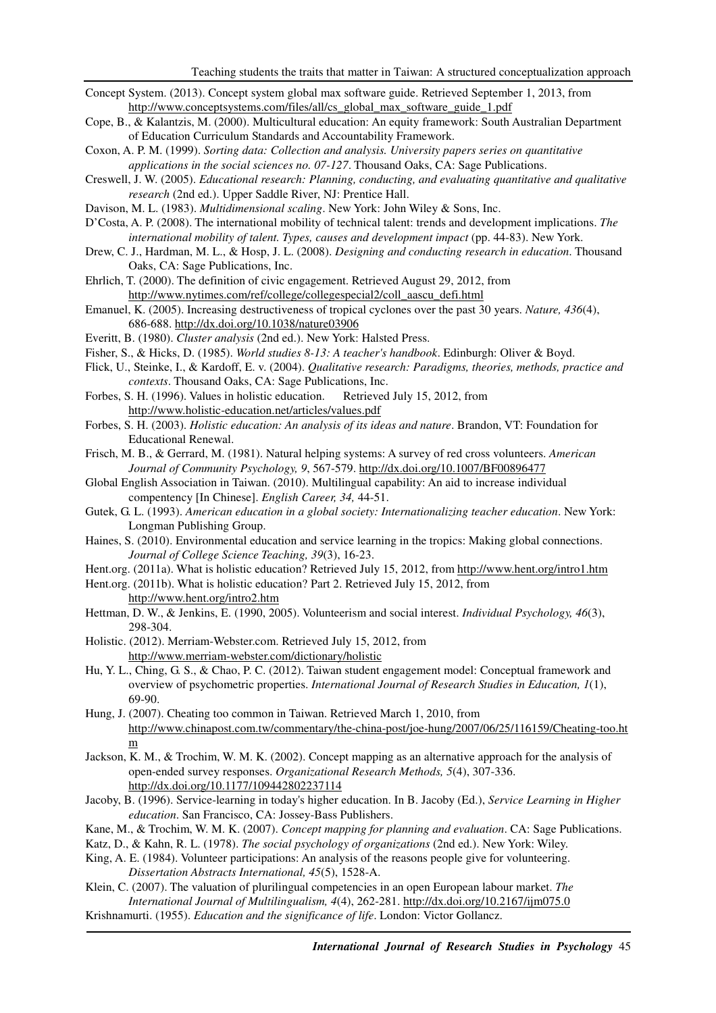- Concept System. (2013). Concept system global max software guide. Retrieved September 1, 2013, from http://www.conceptsystems.com/files/all/cs\_global\_max\_software\_guide\_1.pdf
- Cope, B., & Kalantzis, M. (2000). Multicultural education: An equity framework: South Australian Department of Education Curriculum Standards and Accountability Framework.
- Coxon, A. P. M. (1999). *Sorting data: Collection and analysis. University papers series on quantitative applications in the social sciences no. 07-127*. Thousand Oaks, CA: Sage Publications.
- Creswell, J. W. (2005). *Educational research: Planning, conducting, and evaluating quantitative and qualitative research* (2nd ed.). Upper Saddle River, NJ: Prentice Hall.
- Davison, M. L. (1983). *Multidimensional scaling*. New York: John Wiley & Sons, Inc.
- D'Costa, A. P. (2008). The international mobility of technical talent: trends and development implications. *The international mobility of talent. Types, causes and development impact (pp. 44-83). New York.*
- Drew, C. J., Hardman, M. L., & Hosp, J. L. (2008). *Designing and conducting research in education*. Thousand Oaks, CA: Sage Publications, Inc.
- Ehrlich, T. (2000). The definition of civic engagement. Retrieved August 29, 2012, from http://www.nytimes.com/ref/college/collegespecial2/coll\_aascu\_defi.html
- Emanuel, K. (2005). Increasing destructiveness of tropical cyclones over the past 30 years. *Nature, 436*(4), 686-688. http://dx.doi.org/10.1038/nature03906
- Everitt, B. (1980). *Cluster analysis* (2nd ed.). New York: Halsted Press.
- Fisher, S., & Hicks, D. (1985). *World studies 8-13: A teacher's handbook*. Edinburgh: Oliver & Boyd.
- Flick, U., Steinke, I., & Kardoff, E. v. (2004). *Qualitative research: Paradigms, theories, methods, practice and contexts*. Thousand Oaks, CA: Sage Publications, Inc.
- Forbes, S. H. (1996). Values in holistic education. Retrieved July 15, 2012, from http://www.holistic-education.net/articles/values.pdf
- Forbes, S. H. (2003). *Holistic education: An analysis of its ideas and nature*. Brandon, VT: Foundation for Educational Renewal.
- Frisch, M. B., & Gerrard, M. (1981). Natural helping systems: A survey of red cross volunteers. *American Journal of Community Psychology, 9*, 567-579. http://dx.doi.org/10.1007/BF00896477
- Global English Association in Taiwan. (2010). Multilingual capability: An aid to increase individual compentency [In Chinese]. *English Career, 34,* 44-51.
- Gutek, G. L. (1993). *American education in a global society: Internationalizing teacher education*. New York: Longman Publishing Group.
- Haines, S. (2010). Environmental education and service learning in the tropics: Making global connections. *Journal of College Science Teaching, 39*(3), 16-23.
- Hent.org. (2011a). What is holistic education? Retrieved July 15, 2012, from http://www.hent.org/intro1.htm
- Hent.org. (2011b). What is holistic education? Part 2. Retrieved July 15, 2012, from http://www.hent.org/intro2.htm
- Hettman, D. W., & Jenkins, E. (1990, 2005). Volunteerism and social interest. *Individual Psychology, 46*(3), 298-304.
- Holistic. (2012). Merriam-Webster.com. Retrieved July 15, 2012, from http://www.merriam-webster.com/dictionary/holistic
- Hu, Y. L., Ching, G. S., & Chao, P. C. (2012). Taiwan student engagement model: Conceptual framework and overview of psychometric properties. *International Journal of Research Studies in Education, 1*(1), 69-90.
- Hung, J. (2007). Cheating too common in Taiwan. Retrieved March 1, 2010, from http://www.chinapost.com.tw/commentary/the-china-post/joe-hung/2007/06/25/116159/Cheating-too.ht m
- Jackson, K. M., & Trochim, W. M. K. (2002). Concept mapping as an alternative approach for the analysis of open-ended survey responses. *Organizational Research Methods, 5*(4), 307-336. http://dx.doi.org/10.1177/109442802237114
- Jacoby, B. (1996). Service-learning in today's higher education. In B. Jacoby (Ed.), *Service Learning in Higher education*. San Francisco, CA: Jossey-Bass Publishers.
- Kane, M., & Trochim, W. M. K. (2007). *Concept mapping for planning and evaluation*. CA: Sage Publications.
- Katz, D., & Kahn, R. L. (1978). *The social psychology of organizations* (2nd ed.). New York: Wiley.
- King, A. E. (1984). Volunteer participations: An analysis of the reasons people give for volunteering. *Dissertation Abstracts International, 45*(5), 1528-A.
- Klein, C. (2007). The valuation of plurilingual competencies in an open European labour market. *The International Journal of Multilingualism, 4*(4), 262-281. http://dx.doi.org/10.2167/ijm075.0
- Krishnamurti. (1955). *Education and the significance of life*. London: Victor Gollancz.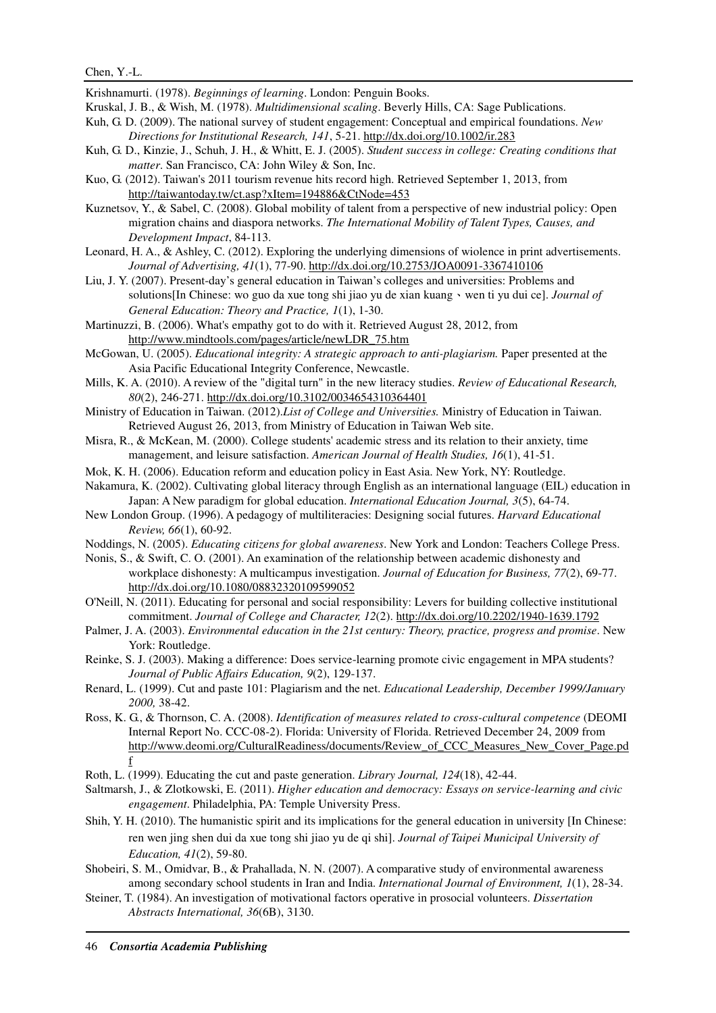Krishnamurti. (1978). *Beginnings of learning*. London: Penguin Books.

- Kruskal, J. B., & Wish, M. (1978). *Multidimensional scaling*. Beverly Hills, CA: Sage Publications.
- Kuh, G. D. (2009). The national survey of student engagement: Conceptual and empirical foundations. *New Directions for Institutional Research, 141*, 5-21. http://dx.doi.org/10.1002/ir.283
- Kuh, G. D., Kinzie, J., Schuh, J. H., & Whitt, E. J. (2005). *Student success in college: Creating conditions that matter*. San Francisco, CA: John Wiley & Son, Inc.
- Kuo, G. (2012). Taiwan's 2011 tourism revenue hits record high. Retrieved September 1, 2013, from http://taiwantoday.tw/ct.asp?xItem=194886&CtNode=453
- Kuznetsov, Y., & Sabel, C. (2008). Global mobility of talent from a perspective of new industrial policy: Open migration chains and diaspora networks. *The International Mobility of Talent Types, Causes, and Development Impact*, 84-113.
- Leonard, H. A., & Ashley, C. (2012). Exploring the underlying dimensions of wiolence in print advertisements. *Journal of Advertising, 41*(1), 77-90. http://dx.doi.org/10.2753/JOA0091-3367410106
- Liu, J. Y. (2007). Present-day's general education in Taiwan's colleges and universities: Problems and solutions[In Chinese: wo guo da xue tong shi jiao yu de xian kuang、wen ti yu dui ce]. *Journal of General Education: Theory and Practice, 1*(1), 1-30.
- Martinuzzi, B. (2006). What's empathy got to do with it. Retrieved August 28, 2012, from http://www.mindtools.com/pages/article/newLDR\_75.htm
- McGowan, U. (2005). *Educational integrity: A strategic approach to anti-plagiarism.* Paper presented at the Asia Pacific Educational Integrity Conference, Newcastle.
- Mills, K. A. (2010). A review of the "digital turn" in the new literacy studies. *Review of Educational Research, 80*(2), 246-271. http://dx.doi.org/10.3102/0034654310364401
- Ministry of Education in Taiwan. (2012).*List of College and Universities.* Ministry of Education in Taiwan. Retrieved August 26, 2013, from Ministry of Education in Taiwan Web site.
- Misra, R., & McKean, M. (2000). College students' academic stress and its relation to their anxiety, time management, and leisure satisfaction. *American Journal of Health Studies, 16*(1), 41-51.
- Mok, K. H. (2006). Education reform and education policy in East Asia. New York, NY: Routledge.
- Nakamura, K. (2002). Cultivating global literacy through English as an international language (EIL) education in Japan: A New paradigm for global education. *International Education Journal, 3*(5), 64-74.
- New London Group. (1996). A pedagogy of multiliteracies: Designing social futures. *Harvard Educational Review, 66*(1), 60-92.
- Noddings, N. (2005). *Educating citizens for global awareness*. New York and London: Teachers College Press.
- Nonis, S., & Swift, C. O. (2001). An examination of the relationship between academic dishonesty and workplace dishonesty: A multicampus investigation. *Journal of Education for Business, 77*(2), 69-77. http://dx.doi.org/10.1080/08832320109599052
- O'Neill, N. (2011). Educating for personal and social responsibility: Levers for building collective institutional commitment. *Journal of College and Character, 12*(2). http://dx.doi.org/10.2202/1940-1639.1792
- Palmer, J. A. (2003). *Environmental education in the 21st century: Theory, practice, progress and promise*. New York: Routledge.
- Reinke, S. J. (2003). Making a difference: Does service-learning promote civic engagement in MPA students? *Journal of Public Affairs Education, 9*(2), 129-137.
- Renard, L. (1999). Cut and paste 101: Plagiarism and the net. *Educational Leadership, December 1999/January 2000,* 38-42.
- Ross, K. G., & Thornson, C. A. (2008). *Identification of measures related to cross-cultural competence* (DEOMI Internal Report No. CCC-08-2). Florida: University of Florida. Retrieved December 24, 2009 from http://www.deomi.org/CulturalReadiness/documents/Review\_of\_CCC\_Measures\_New\_Cover\_Page.pd f
- Roth, L. (1999). Educating the cut and paste generation. *Library Journal, 124*(18), 42-44.
- Saltmarsh, J., & Zlotkowski, E. (2011). *Higher education and democracy: Essays on service-learning and civic engagement*. Philadelphia, PA: Temple University Press.
- Shih, Y. H. (2010). The humanistic spirit and its implications for the general education in university [In Chinese: ren wen jing shen dui da xue tong shi jiao yu de qi shi]. *Journal of Taipei Municipal University of Education, 41*(2), 59-80.
- Shobeiri, S. M., Omidvar, B., & Prahallada, N. N. (2007). A comparative study of environmental awareness among secondary school students in Iran and India. *International Journal of Environment, 1*(1), 28-34.
- Steiner, T. (1984). An investigation of motivational factors operative in prosocial volunteers. *Dissertation Abstracts International, 36*(6B), 3130.